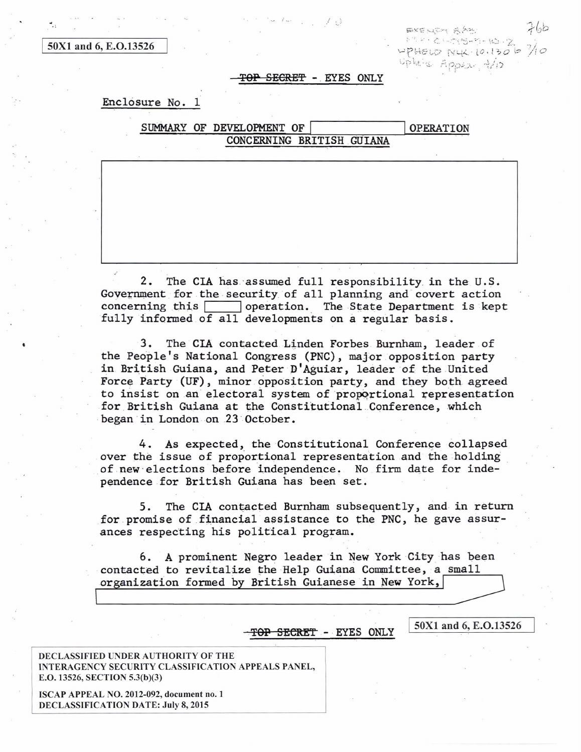50X1 and 6, E.O.13526

EXENSON & APP 한 한 소드(영영-업 10 - 7)  $47H_{\odot}$  and  $10H_{\odot}$  is  $\sigma$  is Uple's Appear trip

## **TOP** SECRE~ - EYES ONLY

 $\cdot'$  . )

## Enclosure No. 1

|  | SUMMARY OF DEVELOPMENT OF |  |  |  | <b>OPERATION</b> |
|--|---------------------------|--|--|--|------------------|
|  | CONCERNING BRITISH GUIANA |  |  |  |                  |

2. The CIA has ·assumed full responsibility. in the U.S. Government for the security of all planning and covert action concerning this  $\Box$  operation. The State Department is kept concerning this  $\Box$  operation. fully informed of all developments on a regular basis.

3. The CIA contacted Linden Forbes Burnham, leader of the People's National Congress (PNC), major opposition party in British Guiana, and Peter D'Aguiar, leader of the United Force Party (UF), minor opposition party, and they both agreed to insist on an electoral system of proportional representation for British Guiana at the Constitutional Conference, which began in London on 23 October.

4. As expected, the Constitutional Conference collapsed over the issue of proportional representation and the holding of new elections before independence. No firm date for independence for British Guiana has been set.

5. The CIA contacted Burnham subsequently, and in return for promise of financial assistance to the PNC, he gave assurances respecting his political program.

6. A prominent Negro leader in New York City has been contacted to revitalize the Help Guiana Committee, a small organization formed by British Guianese in New York,

 $TOP$  SECRET - EYES ONLY  $\begin{array}{|l|}\n50X1 \text{ and } 6, \text{ E.O.}13526\n\end{array}$ 

DECLASSIFIED UNDER AUTHORITY OF THE INTERAGENCY SECURITY CLASSIFICATION APPEALS PANEL, E.O. 13526, SECTION 5.3(b)(3)

ISCAP APPEAL NO. 2012-092, document no. 1 DECLASSIFICATION DATE: July 8, 2015